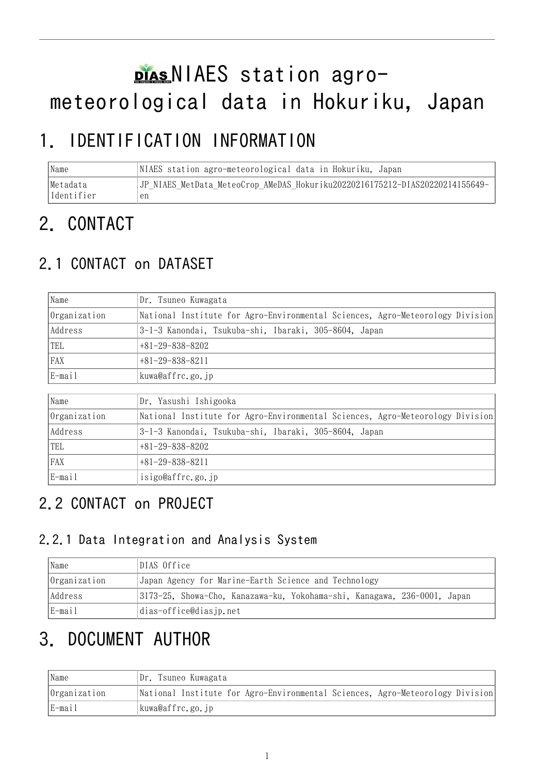# plasNIAES station agrometeorological data in Hokuriku, Japan

## 1. IDENTIFICATION INFORMATION

Name NIAES station agro-meteorological data in Hokuriku, Japan Metadata Identifier JP\_NIAES\_MetData\_MeteoCrop\_AMeDAS\_Hokuriku20220216175212-DIAS20220214155649 en

## 2. CONTACT

## 2.1 CONTACT on DATASET

| Name         | Dr. Tsuneo Kuwagata                                                           |  |  |
|--------------|-------------------------------------------------------------------------------|--|--|
| Organization | National Institute for Agro-Environmental Sciences, Agro-Meteorology Division |  |  |
| Address      | 3-1-3 Kanondai, Tsukuba-shi, Ibaraki, 305-8604, Japan                         |  |  |
| TEL          | $+81-29-838-8202$                                                             |  |  |
| <b>FAX</b>   | $+81-29-838-8211$                                                             |  |  |
| E-mail       | kuwa@affrc.go.jp                                                              |  |  |

| Name         | Dr. Yasushi Ishigooka                                                         |  |  |
|--------------|-------------------------------------------------------------------------------|--|--|
| Organization | National Institute for Agro-Environmental Sciences, Agro-Meteorology Division |  |  |
| Address      | 3-1-3 Kanondai, Tsukuba-shi, Ibaraki, 305-8604, Japan                         |  |  |
| TEL          | $+81-29-838-8202$                                                             |  |  |
| FAX          | $+81-29-838-8211$                                                             |  |  |
| E-mail       | isigo@affrc.go.jp                                                             |  |  |

## 2.2 CONTACT on PROJECT

#### 2.2.1 Data Integration and Analysis System

| Name         | DIAS Office                                                              |  |  |  |
|--------------|--------------------------------------------------------------------------|--|--|--|
| Organization | Japan Agency for Marine-Earth Science and Technology                     |  |  |  |
| Address      | 3173-25, Showa-Cho, Kanazawa-ku, Yokohama-shi, Kanagawa, 236-0001, Japan |  |  |  |
| E-mail       | dias-office@diasjp.net                                                   |  |  |  |

## 3. DOCUMENT AUTHOR

| Name         | Dr. Tsuneo Kuwagata                                                           |  |
|--------------|-------------------------------------------------------------------------------|--|
| Organization | National Institute for Agro-Environmental Sciences, Agro-Meteorology Division |  |
| E-mail       | kuwa@affrc.go.jp                                                              |  |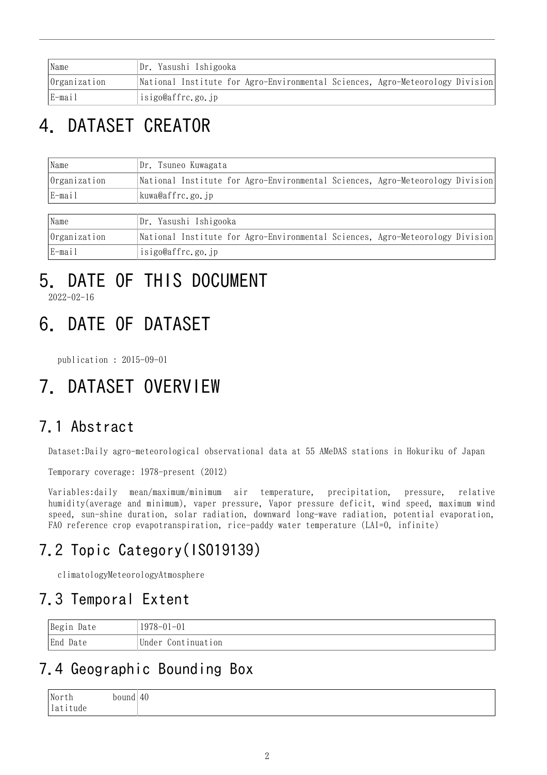| Name         | Dr. Yasushi Ishigooka                                                         |  |  |
|--------------|-------------------------------------------------------------------------------|--|--|
| Organization | National Institute for Agro-Environmental Sciences, Agro-Meteorology Division |  |  |
| E-mail       | isigo@affrc.go.jp                                                             |  |  |

## 4. DATASET CREATOR

| Name         | Dr. Tsuneo Kuwagata                                                           |  |  |
|--------------|-------------------------------------------------------------------------------|--|--|
| Organization | National Institute for Agro-Environmental Sciences, Agro-Meteorology Division |  |  |
| E-mail       | kuwa@affrc.go.jp                                                              |  |  |
|              |                                                                               |  |  |
| Name         | Dr. Yasushi Ishigooka                                                         |  |  |
| Organization | National Institute for Agro-Environmental Sciences, Agro-Meteorology Division |  |  |
| E-mail       | isigo@affrc.go.jp                                                             |  |  |

# 5. DATE OF THIS DOCUMENT

2022-02-16

## 6. DATE OF DATASET

publication : 2015-09-01

## 7. DATASET OVERVIEW

### 7.1 Abstract

Dataset:Daily agro-meteorological observational data at 55 AMeDAS stations in Hokuriku of Japan

Temporary coverage: 1978-present (2012)

Variables:daily mean/maximum/minimum air temperature, precipitation, pressure, relative humidity(average and minimum), vaper pressure, Vapor pressure deficit, wind speed, maximum wind speed, sun-shine duration, solar radiation, downward long-wave radiation, potential evaporation, FAO reference crop evapotranspiration, rice-paddy water temperature (LAI=0, infinite)

## 7.2 Topic Category(ISO19139)

climatologyMeteorologyAtmosphere

### 7.3 Temporal Extent

| Begin Date | $1978 - 01 - 01$   |
|------------|--------------------|
| End Date   | Under Continuation |

### 7.4 Geographic Bounding Box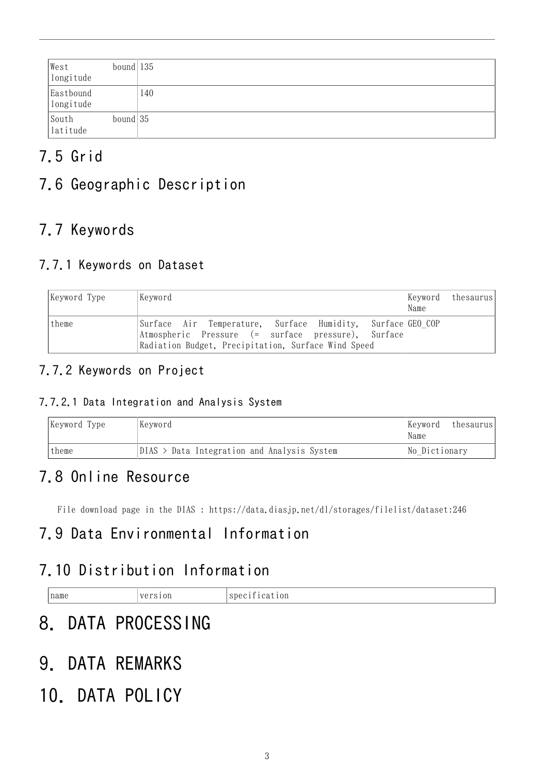| West<br>longitude                                              | bound $ 135 $ |     |
|----------------------------------------------------------------|---------------|-----|
| Eastbound<br>longitude                                         |               | 140 |
| $\begin{array}{c} \text{South} \\ \text{latitude} \end{array}$ | bound $ 35 $  |     |

## 7.5 Grid

## 7.6 Geographic Description

## 7.7 Keywords

#### 7.7.1 Keywords on Dataset

| Keyword Type | Kevword                                                                                                                                                                  | Keyword thesaurus <br>Name |  |
|--------------|--------------------------------------------------------------------------------------------------------------------------------------------------------------------------|----------------------------|--|
| theme        | Surface Air Temperature, Surface Humidity, Surface GEO-COP <br>Atmospheric Pressure (= surface pressure), Surface<br>Radiation Budget, Precipitation, Surface Wind Speed |                            |  |

#### 7.7.2 Keywords on Project

#### 7.7.2.1 Data Integration and Analysis System

| Keyword Type | Keyword                                     |               | thesaurus |
|--------------|---------------------------------------------|---------------|-----------|
| theme        | DIAS > Data Integration and Analysis System | No Dictionary |           |

### 7.8 Online Resource

File download page in the DIAS : <https://data.diasjp.net/dl/storages/filelist/dataset:246>

### 7.9 Data Environmental Information

### 7.10 Distribution Information

| the contract of the contract of the<br>the contract of the contract of the contract of the contract of the contract of<br>the contract of the contract of the contract of the contract of the contract of the contract of the contract of |  | name | $\sim$ $\sim$<br>JJ |  |
|-------------------------------------------------------------------------------------------------------------------------------------------------------------------------------------------------------------------------------------------|--|------|---------------------|--|
|-------------------------------------------------------------------------------------------------------------------------------------------------------------------------------------------------------------------------------------------|--|------|---------------------|--|

## 8. DATA PROCESSING

9. DATA REMARKS

## 10. DATA POLICY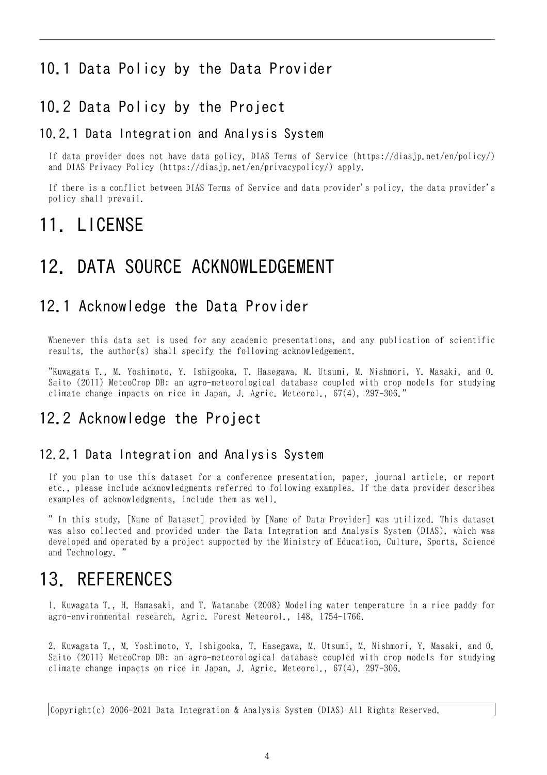#### 10.1 Data Policy by the Data Provider

#### 10.2 Data Policy by the Project

#### 10.2.1 Data Integration and Analysis System

If data provider does not have data policy, DIAS Terms of Service (https://diasjp.net/en/policy/) and DIAS Privacy Policy (https://diasjp.net/en/privacypolicy/) apply.

If there is a conflict between DIAS Terms of Service and data provider's policy, the data provider's policy shall prevail.

## 11. LICENSE

### 12. DATA SOURCE ACKNOWLEDGEMENT

#### 12.1 Acknowledge the Data Provider

Whenever this data set is used for any academic presentations, and any publication of scientific results, the author(s) shall specify the following acknowledgement.

"Kuwagata T., M. Yoshimoto, Y. Ishigooka, T. Hasegawa, M. Utsumi, M. Nishmori, Y. Masaki, and O. Saito (2011) MeteoCrop DB: an agro-meteorological database coupled with crop models for studying climate change impacts on rice in Japan, J. Agric. Meteorol., 67(4), 297-306."

#### 12.2 Acknowledge the Project

#### 12.2.1 Data Integration and Analysis System

If you plan to use this dataset for a conference presentation, paper, journal article, or report etc., please include acknowledgments referred to following examples. If the data provider describes examples of acknowledgments, include them as well.

" In this study, [Name of Dataset] provided by [Name of Data Provider] was utilized. This dataset was also collected and provided under the Data Integration and Analysis System (DIAS), which was developed and operated by a project supported by the Ministry of Education, Culture, Sports, Science and Technology. "

### 13. REFERENCES

1. Kuwagata T., H. Hamasaki, and T. Watanabe (2008) Modeling water temperature in a rice paddy for agro-environmental research, Agric. Forest Meteorol., 148, 1754-1766.

2. Kuwagata T., M. Yoshimoto, Y. Ishigooka, T. Hasegawa, M. Utsumi, M. Nishmori, Y. Masaki, and O. Saito (2011) MeteoCrop DB: an agro-meteorological database coupled with crop models for studying climate change impacts on rice in Japan, J. Agric. Meteorol., 67(4), 297-306.

Copyright(c) 2006-2021 Data Integration & Analysis System (DIAS) All Rights Reserved.